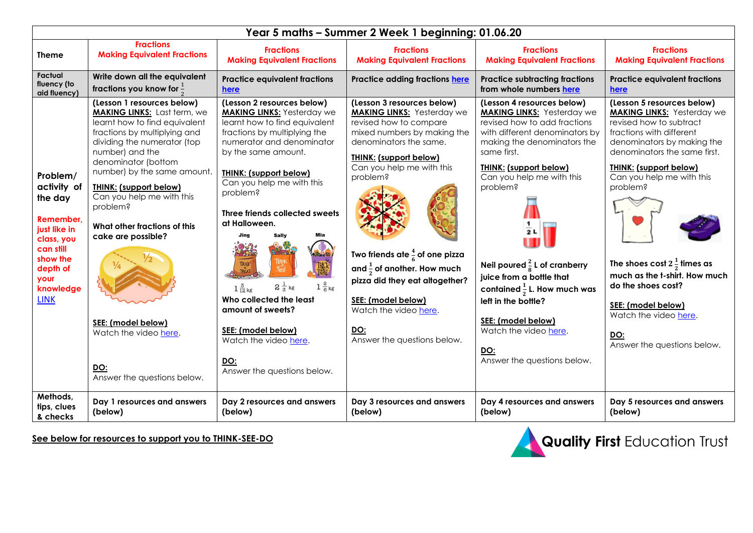| Year 5 maths - Summer 2 Week 1 beginning: 01.06.20                                                                                                     |                                                                                                                                                                                                                                                                                                                                                                                                                                                                                        |                                                                                                                                                                                                                                                                                                                                                                                                                                                                                                                                                                           |                                                                                                                                                                                                                                                                                                                                                                                                                                                    |                                                                                                                                                                                                                                                                                                                                                                                                                                                                                                |                                                                                                                                                                                                                                                                                                                                                                                                                                                             |  |  |  |  |
|--------------------------------------------------------------------------------------------------------------------------------------------------------|----------------------------------------------------------------------------------------------------------------------------------------------------------------------------------------------------------------------------------------------------------------------------------------------------------------------------------------------------------------------------------------------------------------------------------------------------------------------------------------|---------------------------------------------------------------------------------------------------------------------------------------------------------------------------------------------------------------------------------------------------------------------------------------------------------------------------------------------------------------------------------------------------------------------------------------------------------------------------------------------------------------------------------------------------------------------------|----------------------------------------------------------------------------------------------------------------------------------------------------------------------------------------------------------------------------------------------------------------------------------------------------------------------------------------------------------------------------------------------------------------------------------------------------|------------------------------------------------------------------------------------------------------------------------------------------------------------------------------------------------------------------------------------------------------------------------------------------------------------------------------------------------------------------------------------------------------------------------------------------------------------------------------------------------|-------------------------------------------------------------------------------------------------------------------------------------------------------------------------------------------------------------------------------------------------------------------------------------------------------------------------------------------------------------------------------------------------------------------------------------------------------------|--|--|--|--|
| <b>Theme</b>                                                                                                                                           | <b>Fractions</b><br><b>Making Equivalent Fractions</b>                                                                                                                                                                                                                                                                                                                                                                                                                                 | <b>Fractions</b><br><b>Making Equivalent Fractions</b>                                                                                                                                                                                                                                                                                                                                                                                                                                                                                                                    | <b>Fractions</b><br><b>Making Equivalent Fractions</b>                                                                                                                                                                                                                                                                                                                                                                                             | <b>Fractions</b><br><b>Making Equivalent Fractions</b>                                                                                                                                                                                                                                                                                                                                                                                                                                         | <b>Fractions</b><br><b>Making Equivalent Fractions</b>                                                                                                                                                                                                                                                                                                                                                                                                      |  |  |  |  |
| <b>Factual</b><br>fluency (to<br>aid fluency)                                                                                                          | Write down all the equivalent<br>fractions you know for $\frac{1}{5}$                                                                                                                                                                                                                                                                                                                                                                                                                  | <b>Practice equivalent fractions</b><br>here                                                                                                                                                                                                                                                                                                                                                                                                                                                                                                                              | Practice adding fractions here                                                                                                                                                                                                                                                                                                                                                                                                                     | <b>Practice subtracting fractions</b><br>from whole numbers here                                                                                                                                                                                                                                                                                                                                                                                                                               | <b>Practice equivalent fractions</b><br>here                                                                                                                                                                                                                                                                                                                                                                                                                |  |  |  |  |
| Problem/<br>activity of<br>the day<br>Remember,<br>just like in<br>class, you<br>can still<br>show the<br>depth of<br>your<br>knowledge<br><b>LINK</b> | (Lesson 1 resources below)<br><b>MAKING LINKS:</b> Last term, we<br>learnt how to find equivalent<br>fractions by multiplying and<br>dividing the numerator (top<br>number) and the<br>denominator (bottom<br>number) by the same amount.<br><b>THINK: (support below)</b><br>Can you help me with this<br>problem?<br>What other fractions of this<br>cake are possible?<br>$\frac{1}{2}$<br>SEE: (model below)<br>Watch the video here.<br><b>DO:</b><br>Answer the questions below. | (Lesson 2 resources below)<br><b>MAKING LINKS:</b> Yesterday we<br>learnt how to find equivalent<br>fractions by multiplying the<br>numerator and denominator<br>by the same amount.<br><b>THINK: (support below)</b><br>Can you help me with this<br>problem?<br>Three friends collected sweets<br>at Halloween.<br>Jina<br><b>Sally</b><br>TRICK<br>TREAT<br>$1\frac{2}{6}$ kg<br>$2\,\frac{1}{3}$ kg<br>$1\frac{3}{12}$ kg<br>Who collected the least<br>amount of sweets?<br>SEE: (model below)<br>Watch the video here.<br><u>DO:</u><br>Answer the questions below. | (Lesson 3 resources below)<br><b>MAKING LINKS:</b> Yesterday we<br>revised how to compare<br>mixed numbers by making the<br>denominators the same.<br><b>THINK: (support below)</b><br>Can you help me with this<br>problem?<br>Two friends ate $\frac{4}{6}$ of one pizza<br>and $\frac{1}{2}$ of another. How much<br>pizza did they eat altogether?<br>SEE: (model below)<br>Watch the video here.<br><u>DO:</u><br>Answer the questions below. | (Lesson 4 resources below)<br><b>MAKING LINKS:</b> Yesterday we<br>revised how to add fractions<br>with different denominators by<br>making the denominators the<br>same first.<br><b>THINK: (support below)</b><br>Can you help me with this<br>problem?<br>2L<br>Neil poured $\frac{2}{8}$ L of cranberry<br>juice from a bottle that<br>contained $\frac{1}{2}$ L. How much was<br>left in the bottle?<br>SEE: (model below)<br>Watch the video here.<br>DO:<br>Answer the questions below. | (Lesson 5 resources below)<br><b>MAKING LINKS:</b> Yesterday we<br>revised how to subtract<br>fractions with different<br>denominators by making the<br>denominators the same first.<br><b>THINK: (support below)</b><br>Can you help me with this<br>problem?<br>The shoes cost $2\frac{1}{2}$ times as<br>much as the t-shirt. How much<br>do the shoes cost?<br>SEE: (model below)<br>Watch the video here.<br><b>DO:</b><br>Answer the questions below. |  |  |  |  |
| Methods,<br>tips, clues<br>& checks                                                                                                                    | Day 1 resources and answers<br>(below)                                                                                                                                                                                                                                                                                                                                                                                                                                                 | Day 2 resources and answers<br>(below)                                                                                                                                                                                                                                                                                                                                                                                                                                                                                                                                    | Day 3 resources and answers<br>(below)                                                                                                                                                                                                                                                                                                                                                                                                             | Day 4 resources and answers<br>(below)                                                                                                                                                                                                                                                                                                                                                                                                                                                         | Day 5 resources and answers<br>(below)                                                                                                                                                                                                                                                                                                                                                                                                                      |  |  |  |  |

**See below for resources to support you to THINK-SEE-DO**

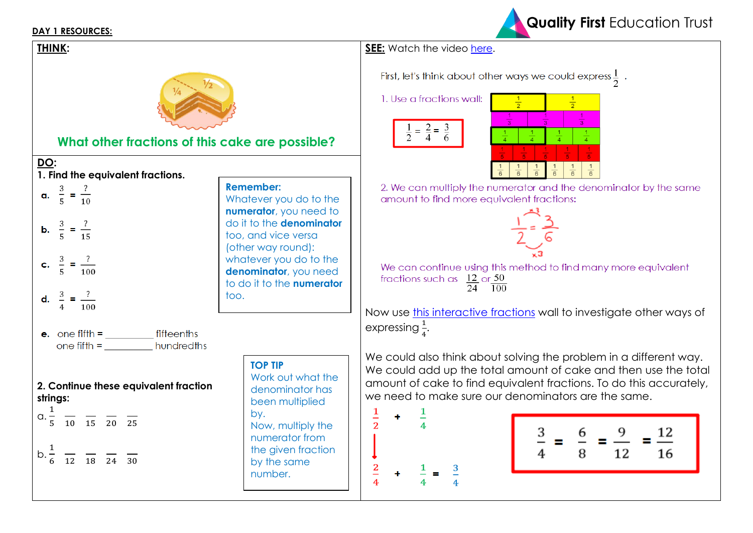#### **DAY 1 RESOURCES:**





2. We can multiply the numerator and the denominator by the same amount to find more equivalent fractions:



We can continue using this method to find many more equivalent fractions such as  $\frac{12}{24}$  or  $\frac{50}{100}$ 

Now use [this interactive fractions](https://mathsbot.com/manipulatives/fractionWall) wall to investigate other ways of

We could also think about solving the problem in a different way. We could add up the total amount of cake and then use the total amount of cake to find equivalent fractions. To do this accurately, we need to make sure our denominators are the same.



| 12<br>$\frac{3}{5}$<br>q<br>6<br>▬<br>Ξ.<br>Ξ.<br>-<br>12<br>16<br>8 |  |
|----------------------------------------------------------------------|--|
|----------------------------------------------------------------------|--|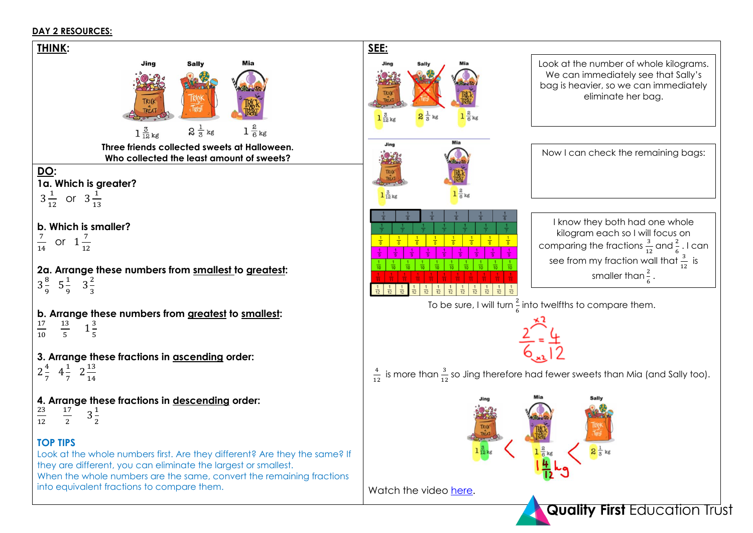### **DAY 2 RESOURCES:**

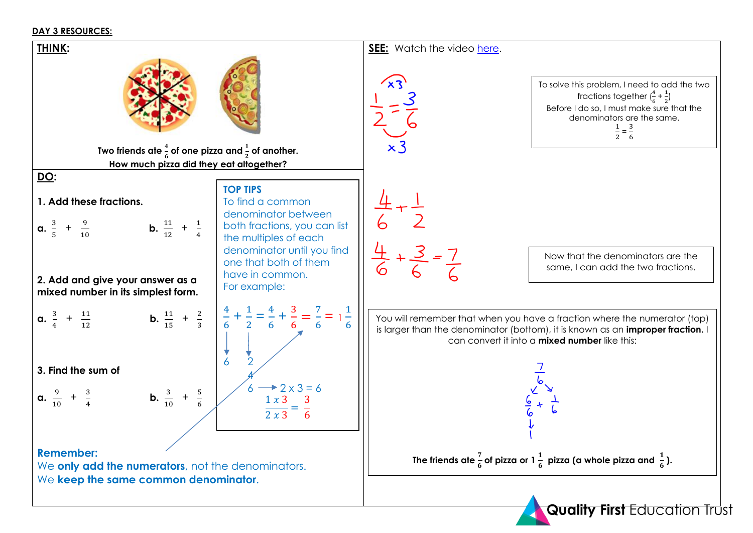#### **DAY 3 RESOURCES:**

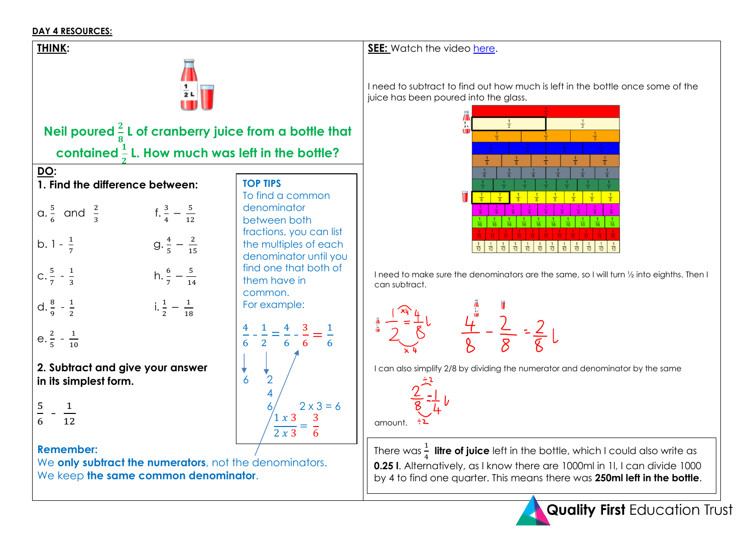## **DAY 4 RESOURCES:**

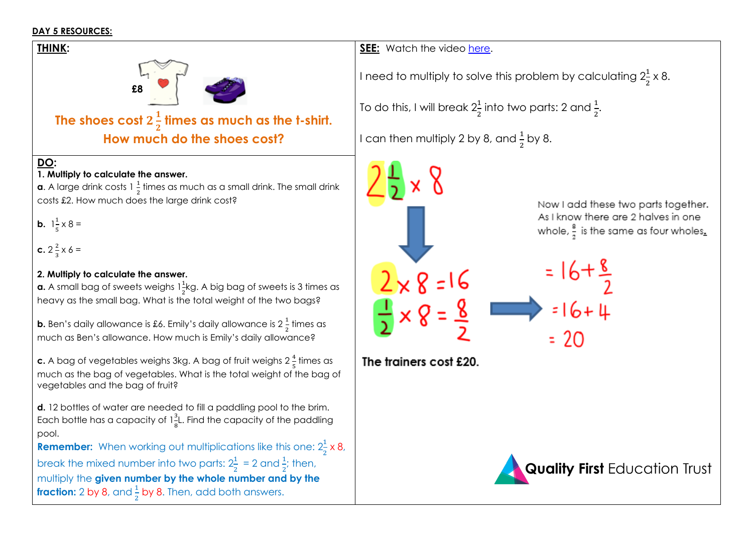## **DAY 5 RESOURCES:**

**DO:** 

**b.**  $1\frac{1}{5}$ 

pool.